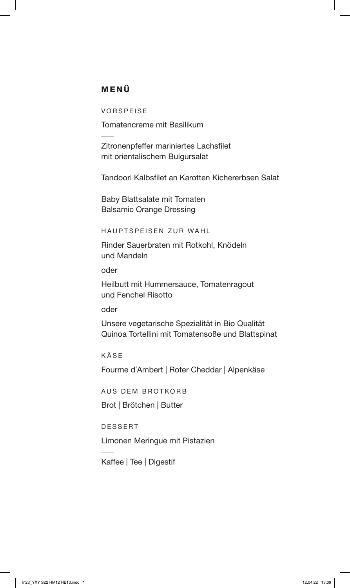## MENÜ

VORSPEISE

Tomatencreme mit Basilikum

Zitronenpfeffer mariniertes Lachsfilet mit orientalischem Bulgursalat

Tandoori Kalbsfilet an Karotten Kichererbsen Salat

Baby Blattsalate mit Tomaten Balsamic Orange Dressing

HAUPTSPEISEN ZUR WAHL

Rinder Sauerbraten mit Rotkohl, Knödeln und Mandeln

oder

Heilbutt mit Hummersauce, Tomatenragout und Fenchel Risotto

oder

Unsere vegetarische Spezialität in Bio Qualität Quinoa Tortellini mit Tomatensoße und Blattspinat

KÄSE

Fourme d´Ambert | Roter Cheddar | Alpenkäse

AUS DEM BROTKORB

Brot | Brötchen | Butter

DESSERT

Limonen Meringue mit Pistazien

Kaffee | Tee | Digestif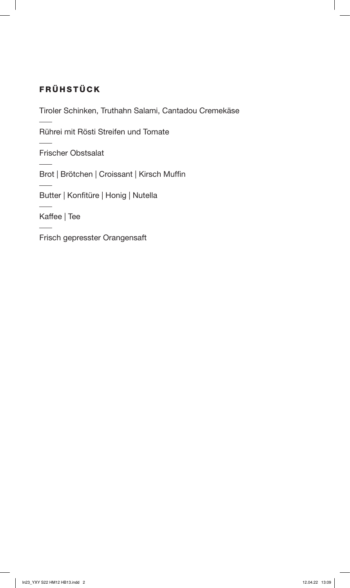# FRÜHSTÜCK

Tiroler Schinken, Truthahn Salami, Cantadou Cremekäse

Rührei mit Rösti Streifen und Tomate

Frischer Obstsalat

Brot | Brötchen | Croissant | Kirsch Muffin

Butter | Konfitüre | Honig | Nutella

Kaffee | Tee

Frisch gepresster Orangensaft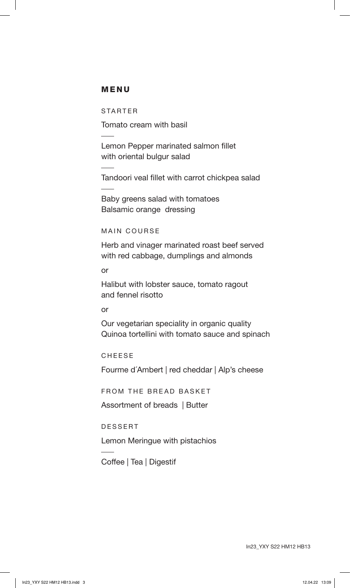### MENU

STARTER

Tomato cream with basil

Lemon Pepper marinated salmon fillet with oriental bulgur salad

Tandoori veal fillet with carrot chickpea salad

Baby greens salad with tomatoes Balsamic orange dressing

#### MAIN COURSE

Herb and vinager marinated roast beef served with red cabbage, dumplings and almonds

or

Halibut with lobster sauce, tomato ragout and fennel risotto

#### or

Our vegetarian speciality in organic quality Quinoa tortellini with tomato sauce and spinach

CHEESE

Fourme d´Ambert | red cheddar | Alp's cheese

FROM THE BREAD BASKET

Assortment of breads | Butter

DESSERT

Lemon Meringue with pistachios

Coffee | Tea | Digestif

In23\_YXY S22 HM12 HB13